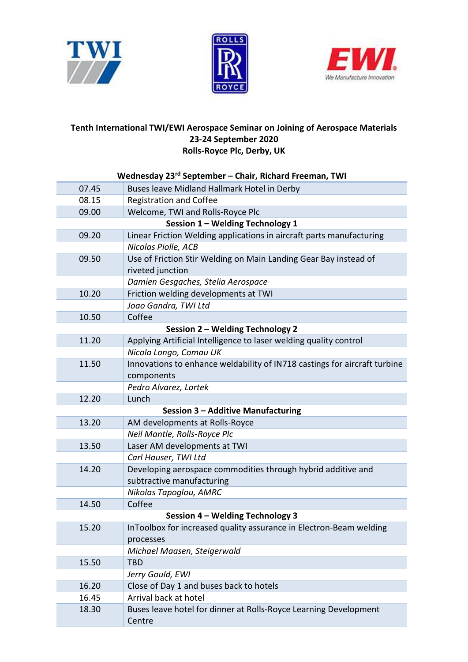





## Tenth International TWI/EWI Aerospace Seminar on Joining of Aerospace Materials 23-24 September 2020 Rolls-Royce Plc, Derby, UK

| Wednesday 23 <sup>rd</sup> September - Chair, Richard Freeman, TWI |                                                                            |  |
|--------------------------------------------------------------------|----------------------------------------------------------------------------|--|
| 07.45                                                              | Buses leave Midland Hallmark Hotel in Derby                                |  |
| 08.15                                                              | <b>Registration and Coffee</b>                                             |  |
| 09.00                                                              | Welcome, TWI and Rolls-Royce Plc                                           |  |
|                                                                    | Session 1 - Welding Technology 1                                           |  |
| 09.20                                                              | Linear Friction Welding applications in aircraft parts manufacturing       |  |
|                                                                    | Nicolas Piolle, ACB                                                        |  |
| 09.50                                                              | Use of Friction Stir Welding on Main Landing Gear Bay instead of           |  |
|                                                                    | riveted junction                                                           |  |
|                                                                    | Damien Gesgaches, Stelia Aerospace                                         |  |
| 10.20                                                              | Friction welding developments at TWI                                       |  |
|                                                                    | Joao Gandra, TWI Ltd                                                       |  |
| 10.50                                                              | Coffee                                                                     |  |
| Session 2 - Welding Technology 2                                   |                                                                            |  |
| 11.20                                                              | Applying Artificial Intelligence to laser welding quality control          |  |
|                                                                    | Nicola Longo, Comau UK                                                     |  |
| 11.50                                                              | Innovations to enhance weldability of IN718 castings for aircraft turbine  |  |
|                                                                    | components                                                                 |  |
|                                                                    | Pedro Alvarez, Lortek                                                      |  |
| 12.20                                                              | Lunch                                                                      |  |
|                                                                    | Session 3 - Additive Manufacturing                                         |  |
| 13.20                                                              | AM developments at Rolls-Royce                                             |  |
|                                                                    | Neil Mantle, Rolls-Royce Plc                                               |  |
| 13.50                                                              | Laser AM developments at TWI                                               |  |
|                                                                    | Carl Hauser, TWI Ltd                                                       |  |
| 14.20                                                              | Developing aerospace commodities through hybrid additive and               |  |
|                                                                    | subtractive manufacturing                                                  |  |
|                                                                    | Nikolas Tapoglou, AMRC                                                     |  |
| 14.50                                                              | Coffee                                                                     |  |
| Session 4 - Welding Technology 3                                   |                                                                            |  |
| 15.20                                                              | InToolbox for increased quality assurance in Electron-Beam welding         |  |
|                                                                    | processes                                                                  |  |
|                                                                    | Michael Maasen, Steigerwald                                                |  |
| 15.50                                                              | <b>TBD</b>                                                                 |  |
|                                                                    | Jerry Gould, EWI                                                           |  |
| 16.20                                                              | Close of Day 1 and buses back to hotels                                    |  |
| 16.45                                                              | Arrival back at hotel                                                      |  |
| 18.30                                                              | Buses leave hotel for dinner at Rolls-Royce Learning Development<br>Centre |  |